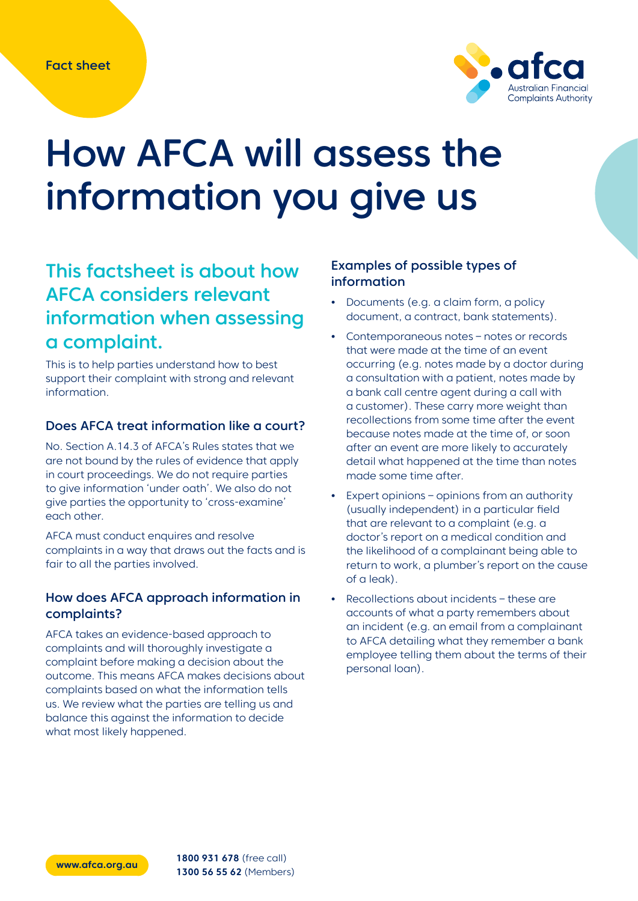

# How AFCA will assess the information you give us

# This factsheet is about how AFCA considers relevant information when assessing a complaint.

This is to help parties understand how to best support their complaint with strong and relevant information.

#### Does AFCA treat information like a court?

No. Section A.14.3 of AFCA's Rules states that we are not bound by the rules of evidence that apply in court proceedings. We do not require parties to give information 'under oath'. We also do not give parties the opportunity to 'cross-examine' each other.

AFCA must conduct enquires and resolve complaints in a way that draws out the facts and is fair to all the parties involved.

#### How does AFCA approach information in complaints?

AFCA takes an evidence-based approach to complaints and will thoroughly investigate a complaint before making a decision about the outcome. This means AFCA makes decisions about complaints based on what the information tells us. We review what the parties are telling us and balance this against the information to decide what most likely happened.

#### Examples of possible types of information

- **•** Documents (e.g. a claim form, a policy document, a contract, bank statements).
- **•** Contemporaneous notes notes or records that were made at the time of an event occurring (e.g. notes made by a doctor during a consultation with a patient, notes made by a bank call centre agent during a call with a customer). These carry more weight than recollections from some time after the event because notes made at the time of, or soon after an event are more likely to accurately detail what happened at the time than notes made some time after.
- **•** Expert opinions opinions from an authority (usually independent) in a particular field that are relevant to a complaint (e.g. a doctor's report on a medical condition and the likelihood of a complainant being able to return to work, a plumber's report on the cause of a leak).
- **•** Recollections about incidents these are accounts of what a party remembers about an incident (e.g. an email from a complainant to AFCA detailing what they remember a bank employee telling them about the terms of their personal loan).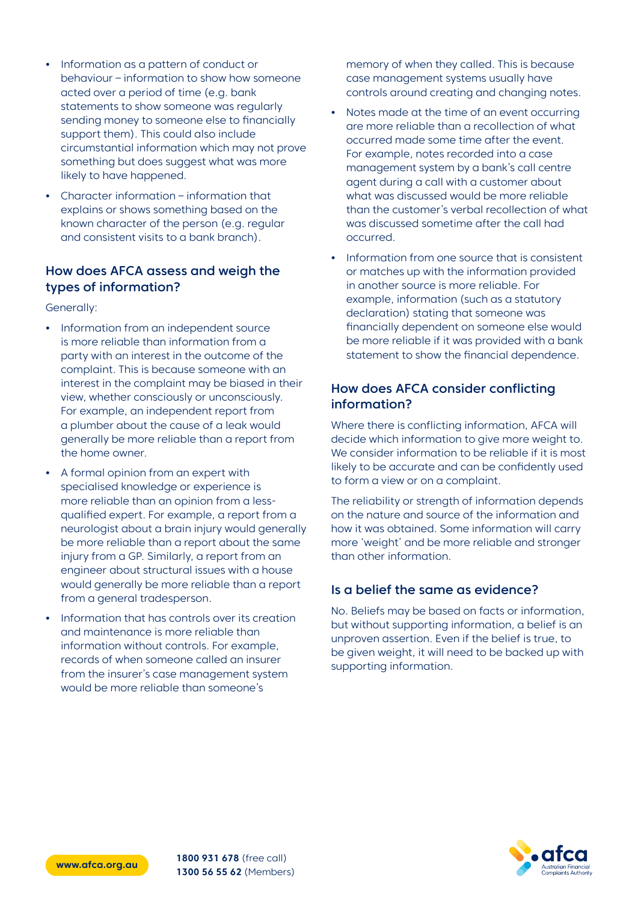- **•** Information as a pattern of conduct or behaviour – information to show how someone acted over a period of time (e.g. bank statements to show someone was regularly sending money to someone else to financially support them). This could also include circumstantial information which may not prove something but does suggest what was more likely to have happened.
- **•** Character information information that explains or shows something based on the known character of the person (e.g. regular and consistent visits to a bank branch).

#### How does AFCA assess and weigh the types of information?

Generally:

- **•** Information from an independent source is more reliable than information from a party with an interest in the outcome of the complaint. This is because someone with an interest in the complaint may be biased in their view, whether consciously or unconsciously. For example, an independent report from a plumber about the cause of a leak would generally be more reliable than a report from the home owner.
- **•** A formal opinion from an expert with specialised knowledge or experience is more reliable than an opinion from a lessqualified expert. For example, a report from a neurologist about a brain injury would generally be more reliable than a report about the same injury from a GP. Similarly, a report from an engineer about structural issues with a house would generally be more reliable than a report from a general tradesperson.
- **•** Information that has controls over its creation and maintenance is more reliable than information without controls. For example, records of when someone called an insurer from the insurer's case management system would be more reliable than someone's

memory of when they called. This is because case management systems usually have controls around creating and changing notes.

- **•** Notes made at the time of an event occurring are more reliable than a recollection of what occurred made some time after the event. For example, notes recorded into a case management system by a bank's call centre agent during a call with a customer about what was discussed would be more reliable than the customer's verbal recollection of what was discussed sometime after the call had occurred.
- **•** Information from one source that is consistent or matches up with the information provided in another source is more reliable. For example, information (such as a statutory declaration) stating that someone was financially dependent on someone else would be more reliable if it was provided with a bank statement to show the financial dependence.

### How does AFCA consider conflicting information?

Where there is conflicting information, AFCA will decide which information to give more weight to. We consider information to be reliable if it is most likely to be accurate and can be confidently used to form a view or on a complaint.

The reliability or strength of information depends on the nature and source of the information and how it was obtained. Some information will carry more 'weight' and be more reliable and stronger than other information.

## Is a belief the same as evidence?

No. Beliefs may be based on facts or information, but without supporting information, a belief is an unproven assertion. Even if the belief is true, to be given weight, it will need to be backed up with supporting information.



**[www.afca.org.au](http://www.afca.org.au) 1800 931 678** (free call) **1300 56 55 62** (Members)